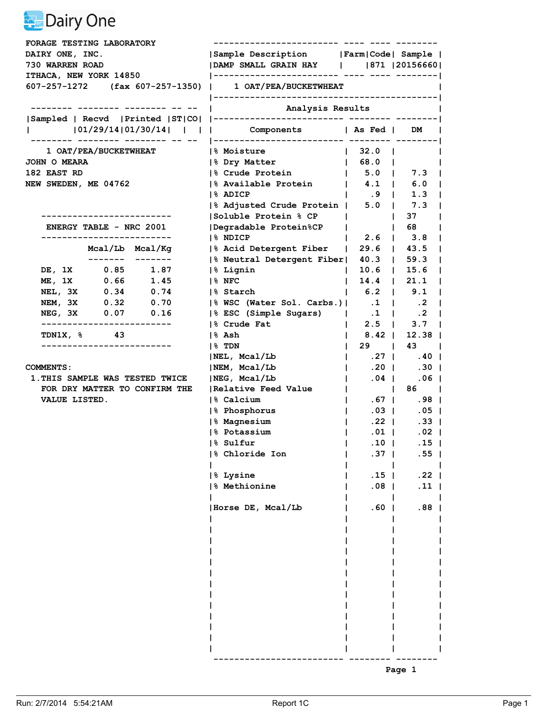| FORAGE TESTING LABORATORY                               |                                           |                                  |                                 |
|---------------------------------------------------------|-------------------------------------------|----------------------------------|---------------------------------|
| <b>DAIRY ONE, INC.</b>                                  | Sample Description   Farm   Code   Sample |                                  |                                 |
| <b>730 WARREN ROAD</b>                                  | DAMP SMALL GRAIN HAY     871   20156660   |                                  |                                 |
| ITHACA, NEW YORK 14850                                  |                                           |                                  |                                 |
| 607-257-1272 (fax 607-257-1350)   1 OAT/PEA/BUCKETWHEAT |                                           |                                  |                                 |
|                                                         | Analysis Results                          |                                  |                                 |
|                                                         |                                           |                                  |                                 |
| 101/29/14 01/30/14        Components   As Fed   DM      |                                           |                                  |                                 |
| 1 OAT/PEA/BUCKETWHEAT                                   | <b>8 Moisture</b>                         | $\vert$ 32.0 $\vert$             |                                 |
| JOHN O MEARA                                            | 8 Dry Matter                              | 68.0                             |                                 |
| 182 EAST RD                                             | % Crude Protein                           | $1$ 5.0   7.3                    |                                 |
| NEW SWEDEN, ME 04762                                    | 1% Available Protein                      | $\vert$ 4.1   6.0                |                                 |
|                                                         | 1% ADICP                                  | $\mathbf{1}$                     | $.9$   1.3                      |
|                                                         | % Adjusted Crude Protein   5.0   7.3      |                                  |                                 |
| ---------------------                                   | Soluble Protein % CP                      |                                  | 37<br>$\mathbf{L}$              |
| <b>ENERGY TABLE - NRC 2001</b>                          | Degradable Protein%CP                     | $\mathbf{L}$                     | 68 -<br>$\Box$                  |
| ------------------------                                | 1% NDICP                                  |                                  | $2.6$   $3.8$                   |
| Mcal/Lb Mcal/Kg                                         | % Acid Detergent Fiber                    |                                  | $29.6$   43.5                   |
| _____ _____                                             | % Neutral Detergent Fiber                 | $40.3$                           | 59.3                            |
| DE, 1X 0.85 1.87                                        | % Lignin                                  | $10.6$                           | 15.6                            |
| 0.66<br><b>ME, 1X</b><br>1.45                           | $18$ NFC                                  | $\mathbf{L}$                     | $14.4$   21.1                   |
| NEL, 3X 0.34<br>0.74                                    | 1% Starch                                 | $\vert$ 6.2 $\vert$ 9.1          | J.                              |
| NEM, 3X 0.32<br>0.70                                    | % WSC (Water Sol. Carbs.)  .1   .2        |                                  | - 1                             |
| NEG, 3X 0.07 0.16                                       | % ESC (Simple Sugars)                     |                                  | $.1$   $.2$<br>J.               |
| -----------------------                                 | 1% Crude Fat                              | $\mathbf{L}$                     | $2.5$   $3.7$<br>$\sim$         |
| TDN1X, $\frac{6}{3}$ 43                                 | % Ash                                     | $8.42$ 1<br>$\mathbf{I}$         | $12.38$ $\vert$                 |
| --------------------                                    | 1% TDN                                    | $29$ $1$<br>$\mathbf{I}$         | $43 \quad \blacksquare$         |
|                                                         | NEL, Meal/Lb                              | .27 <sub>1</sub><br>$\mathbf{L}$ | .40                             |
| <b>COMMENTS :</b>                                       | NEM, Mcal/Lb                              | $.20$  <br>$\mathbf{L}$          | .30 <sub>1</sub>                |
| 1. THIS SAMPLE WAS TESTED TWICE                         | NEG, Mcal/Lb                              | $.04$  <br>$\mathbf{L}$          | .06 <sub>1</sub>                |
| FOR DRY MATTER TO CONFIRM THE                           | Relative Feed Value                       | $\mathbf{L}$                     | 86  <br>$\blacksquare$          |
| VALUE LISTED.                                           | 1% Calcium                                | . 67  <br>$\mathbf{L}$           | .98                             |
|                                                         | 1% Phosphorus                             | $.03$  <br>$\mathbf{I}$          | .05 <sub>1</sub>                |
|                                                         | % Magnesium                               | $.22$ $\perp$<br>$\mathbf{I}$    | $.33-1$                         |
|                                                         | 1% Potassium                              | $.01$                            | .02 <sub>1</sub>                |
|                                                         | 1% Sulfur                                 | $\mathbf{I}$                     | $.10 \quad 1 \quad .15 \quad 1$ |
|                                                         | % Chloride Ion                            | .37 <sub>1</sub>                 | .55 <sub>1</sub>                |
|                                                         |                                           |                                  |                                 |
|                                                         | 8 Lysine                                  | .15                              | .22 <sub>1</sub>                |
|                                                         | 8 Methionine                              | $.08$                            | $.11$                           |
|                                                         | Horse DE, Mcal/Lb                         | $.60$                            | $.88$                           |
|                                                         |                                           |                                  |                                 |
|                                                         |                                           |                                  |                                 |
|                                                         |                                           |                                  |                                 |
|                                                         |                                           |                                  |                                 |
|                                                         |                                           |                                  |                                 |
|                                                         |                                           |                                  |                                 |
|                                                         |                                           |                                  |                                 |
|                                                         |                                           |                                  |                                 |
|                                                         |                                           |                                  |                                 |
|                                                         |                                           |                                  |                                 |
|                                                         |                                           |                                  |                                 |
|                                                         |                                           |                                  |                                 |
|                                                         |                                           |                                  | Page 1                          |
|                                                         |                                           |                                  |                                 |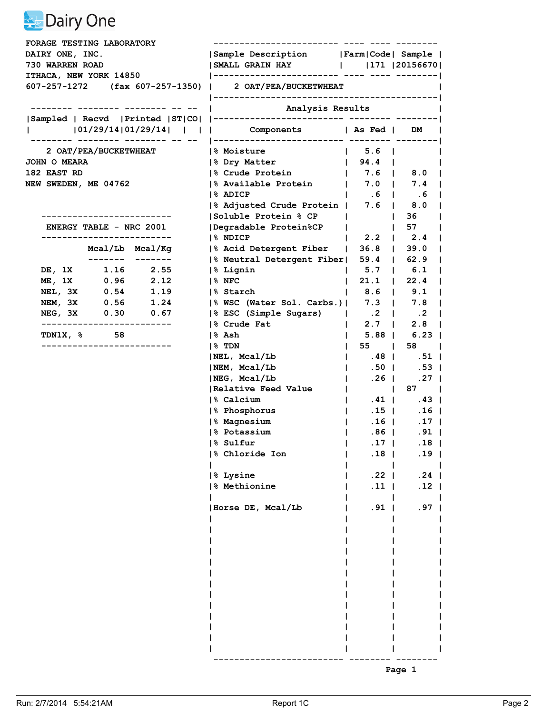| FORAGE TESTING LABORATORY                               |                                                                          |                                                      |                    |  |
|---------------------------------------------------------|--------------------------------------------------------------------------|------------------------------------------------------|--------------------|--|
| DAIRY ONE, INC.                                         | Sample Description   Farm   Code   Sample                                |                                                      |                    |  |
| 730 WARREN ROAD                                         |                                                                          |                                                      |                    |  |
| ITHACA, NEW YORK 14850                                  |                                                                          |                                                      |                    |  |
| 607-257-1272 (fax 607-257-1350)   2 OAT/PEA/BUCKETWHEAT |                                                                          |                                                      |                    |  |
|                                                         |                                                                          |                                                      |                    |  |
|                                                         | Analysis Results                                                         |                                                      |                    |  |
| 101/29/14 01/29/14        Components   As Fed   DM      |                                                                          |                                                      |                    |  |
| 2 OAT/PEA/BUCKETWHEAT                                   | <b>1% Moisture</b>                                                       | $\vert$ 5.6 $\vert$                                  |                    |  |
| <b>JOHN O MEARA</b>                                     | 8 Dry Matter                                                             | $\vert$ 94.4 $\vert$                                 |                    |  |
| 182 EAST RD                                             | % Crude Protein                                                          | 7.6 8.0                                              |                    |  |
| <b>NEW SWEDEN, ME 04762</b>                             | $ \%$ Available Protein   7.0   7.4                                      |                                                      |                    |  |
|                                                         | 1% ADICP                                                                 | $\begin{array}{ccccccc} 1 & .6 & 1 & .6 \end{array}$ |                    |  |
|                                                         | % Adjusted Crude Protein   7.6   8.0                                     |                                                      |                    |  |
| ---------------------                                   | Soluble Protein % CP                                                     |                                                      | 36<br>$\mathbf{1}$ |  |
| <b>ENERGY TABLE - NRC 2001</b>                          | Degradable Protein%CP                                                    | $\mathbf{L}$                                         | $1\quad 57$        |  |
| --------------------                                    | 1% NDICP                                                                 |                                                      | $2.2$   $2.4$      |  |
| Mcal/Lb Mcal/Kg                                         | % Acid Detergent Fiber   36.8   39.0                                     |                                                      |                    |  |
| ------- -------                                         | % Neutral Detergent Fiber  59.4   62.9                                   |                                                      |                    |  |
| DE, 1X 1.16 2.55                                        | % Lignin                                                                 | 1, 5.7, 1, 6.1                                       |                    |  |
| ME, 1X 0.96 2.12                                        | 1% NFC                                                                   | $21.1$  <br>$\mathbf{L}$                             | 22.4               |  |
| NEL, 3X 0.54 1.19<br>NEM, 3X 0.56 1.24                  | % Starch                                                                 | 8.6   9.1                                            |                    |  |
| NEG, 3X 0.30 0.67                                       | % WSC (Water Sol. Carbs.)  7.3   7.8<br> % ESC (Simple Sugars)   .2   .2 |                                                      |                    |  |
|                                                         | 1% Crude Fat                                                             |                                                      | $2.7$   2.8        |  |
| <b>TDN1X, %</b> 58                                      | % Ash                                                                    | L                                                    | $5.88$   6.23      |  |
| ------------------                                      | $ 8$ TDN                                                                 | 55                                                   | 58                 |  |
|                                                         | NEL, Mcal/Lb                                                             | $ $ .48   .51                                        |                    |  |
|                                                         | NEM, Mcal/Lb                                                             | $\mathbf{1}$                                         | $.50$   $.53$      |  |
|                                                         | NEG, Mcal/Lb                                                             | $\vert$ .26 $\vert$                                  | .27                |  |
|                                                         | Relative Feed Value                                                      | <b>Contract Contract Street</b>                      | $87 \quad \vert$   |  |
|                                                         | 1% Calcium                                                               | $ $ .41   .43                                        |                    |  |
|                                                         | % Phosphorus                                                             | $.15$  <br>$\mathbf{1}$                              | $.16$              |  |
|                                                         | % Magnesium                                                              | $\mathbf{1}$                                         | $.16$   $.17$      |  |
|                                                         | 1% Potassium                                                             | $.86$  <br>$\mathbf{L}$                              | $.91$              |  |
|                                                         | % Sulfur<br>and the contract of the contract of                          | .17                                                  | $.18$              |  |
|                                                         | 8 Chloride Ion                                                           | $.18$                                                | .19 <sub>1</sub>   |  |
|                                                         |                                                                          |                                                      |                    |  |
|                                                         | 8 Lysine                                                                 | $.22$                                                | $.24$              |  |
|                                                         | 8 Methionine                                                             | $.11$                                                | $.12$              |  |
|                                                         | Horse DE, Mcal/Lb                                                        | $.91$                                                | .97 <sub>1</sub>   |  |
|                                                         |                                                                          |                                                      |                    |  |
|                                                         |                                                                          |                                                      |                    |  |
|                                                         |                                                                          |                                                      |                    |  |
|                                                         |                                                                          |                                                      |                    |  |
|                                                         |                                                                          |                                                      |                    |  |
|                                                         |                                                                          |                                                      |                    |  |
|                                                         |                                                                          |                                                      |                    |  |
|                                                         |                                                                          |                                                      |                    |  |
|                                                         |                                                                          |                                                      |                    |  |
|                                                         |                                                                          |                                                      |                    |  |
|                                                         |                                                                          |                                                      |                    |  |
|                                                         |                                                                          |                                                      |                    |  |

**Page 1 Page 1**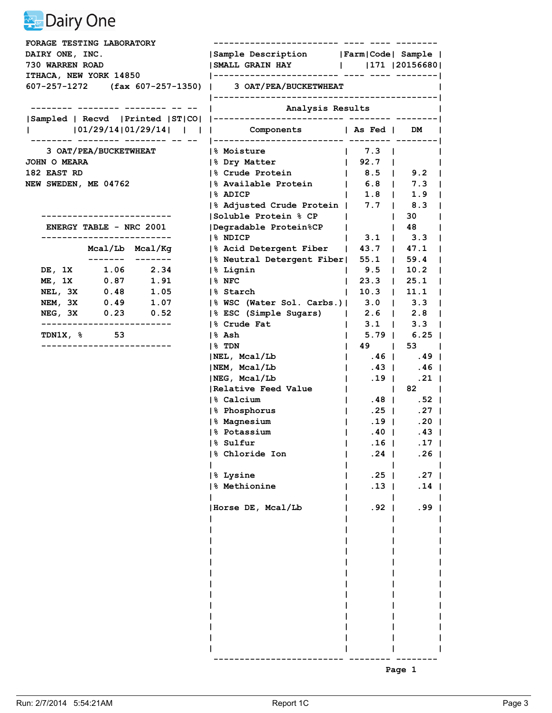| FORAGE TESTING LABORATORY                               |      |                       |                                                    |                                                 |                         |  |  |
|---------------------------------------------------------|------|-----------------------|----------------------------------------------------|-------------------------------------------------|-------------------------|--|--|
| DAIRY ONE, INC.<br>730 WARREN ROAD                      |      |                       | Sample Description   Farm   Code   Sample          |                                                 |                         |  |  |
|                                                         |      |                       | SMALL GRAIN HAY      171  20156680                 |                                                 |                         |  |  |
| ITHACA, NEW YORK 14850                                  |      |                       |                                                    |                                                 |                         |  |  |
| 607-257-1272 (fax 607-257-1350)   3 OAT/PEA/BUCKETWHEAT |      |                       |                                                    |                                                 |                         |  |  |
|                                                         |      |                       |                                                    | Analysis Results                                |                         |  |  |
|                                                         |      |                       |                                                    |                                                 |                         |  |  |
|                                                         |      |                       | 101/29/14 01/29/14        Components   As Fed   DM |                                                 |                         |  |  |
|                                                         |      | 3 OAT/PEA/BUCKETWHEAT | <b>1% Moisture</b>                                 | $\vert$ 7.3 $\vert$                             |                         |  |  |
| <b>JOHN O MEARA</b>                                     |      |                       | 1% Dry Matter                                      | $\begin{array}{ccc} & 92.7 & \vert \end{array}$ |                         |  |  |
| 182 EAST RD                                             |      |                       | % Crude Protein                                    | 8.5   9.2                                       |                         |  |  |
| <b>NEW SWEDEN, ME 04762</b>                             |      |                       | $\frac{1}{6}$ Available Protein   6.8   7.3        |                                                 |                         |  |  |
|                                                         |      |                       | 1% ADICP                                           | $ $ 1.8   1.9                                   |                         |  |  |
|                                                         |      |                       | % Adjusted Crude Protein   7.7   8.3               |                                                 |                         |  |  |
|                                                         |      |                       | Soluble Protein % CP                               | $\mathbf{1}$                                    | 30                      |  |  |
| <b>ENERGY TABLE - NRC 2001</b>                          |      |                       | Degradable Protein%CP                              | $\mathbf{L}$                                    | 48                      |  |  |
| --------------------------                              |      |                       | 1% NDICP                                           | $\mathbf{L}$                                    | $3.1$   $3.3$           |  |  |
|                                                         |      | Mcal/Lb Mcal/Kg       | % Acid Detergent Fiber   43.7   47.1               |                                                 |                         |  |  |
|                                                         |      | DE, 1X 1.06 2.34      | % Neutral Detergent Fiber  55.1   59.4             |                                                 |                         |  |  |
| ME, 1X                                                  | 0.87 | 1.91                  | % Lignin                                           | $\vert$ 9.5 $\vert$ 10.2<br>$123.3$ $125.1$     |                         |  |  |
| NEL, 3X                                                 | 0.48 | 1.05                  | $ 8$ NFC<br>1% Starch                              |                                                 |                         |  |  |
|                                                         |      | NEM, 3X 0.49 1.07     | % WSC (Water Sol. Carbs.)  3.0   3.3               | 10.3 11.1                                       | $\sim$                  |  |  |
|                                                         |      | NEG, 3X 0.23 0.52     | % ESC (Simple Sugars)   2.6   2.8                  |                                                 |                         |  |  |
| -------------------------                               |      |                       | 8 Crude Fat                                        | $\mathbf{L}$                                    | $3.1$   $3.3$           |  |  |
| <b>TDN1X, % 53</b>                                      |      |                       | % Ash                                              | $\mathbf{I}$                                    | $5.79$   6.25           |  |  |
| --------------------------                              |      |                       | $ 8$ TDN                                           | 49  <br>$\mathbf{L}$                            | 53                      |  |  |
|                                                         |      |                       | NEL, Mcal/Lb                                       | $\vert$ .46 $\vert$ .49 $\vert$                 |                         |  |  |
|                                                         |      |                       | NEM, Mcal/Lb                                       | $\mathcal{L} = \mathcal{L}$<br>.43              | .46                     |  |  |
|                                                         |      |                       | NEG, Meal/Lb                                       | $\vert$ . 19 $\vert$                            | .21                     |  |  |
|                                                         |      |                       | Relative Feed Value                                | <b>Contract Contract</b><br>$\mathbf{1}$        | $82 \quad \blacksquare$ |  |  |
|                                                         |      |                       | 1% Calcium                                         | $\mathbf{L}$                                    | $.48$   $.52$           |  |  |
|                                                         |      |                       | % Phosphorus                                       | $.25$  <br>$\mathbf{1}$                         | .27 <sub>1</sub>        |  |  |
|                                                         |      |                       | % Magnesium                                        | $.19$  <br>$\mathbf{1}$                         | $.20$                   |  |  |
|                                                         |      |                       | 1% Potassium                                       | .40 <sub>1</sub><br>$\mathbf{L}$                | .43                     |  |  |
|                                                         |      |                       | % Sulfur<br>the contract of the contract of        | $.16$                                           | .17 <sub>1</sub>        |  |  |
|                                                         |      |                       | 8 Chloride Ion                                     | $.24$                                           | .26 <sub>1</sub>        |  |  |
|                                                         |      |                       | 8 Lysine                                           | $.25$                                           | .27 <sub>1</sub>        |  |  |
|                                                         |      |                       | 8 Methionine                                       | $.13$                                           | $.14$                   |  |  |
|                                                         |      |                       | Horse DE, Mcal/Lb                                  | $.92$                                           | .99 <sub>1</sub>        |  |  |
|                                                         |      |                       |                                                    |                                                 |                         |  |  |
|                                                         |      |                       |                                                    |                                                 |                         |  |  |
|                                                         |      |                       |                                                    |                                                 |                         |  |  |
|                                                         |      |                       |                                                    |                                                 |                         |  |  |
|                                                         |      |                       |                                                    |                                                 |                         |  |  |
|                                                         |      |                       |                                                    |                                                 |                         |  |  |
|                                                         |      |                       |                                                    |                                                 |                         |  |  |
|                                                         |      |                       |                                                    |                                                 |                         |  |  |
|                                                         |      |                       |                                                    |                                                 |                         |  |  |
|                                                         |      |                       |                                                    |                                                 |                         |  |  |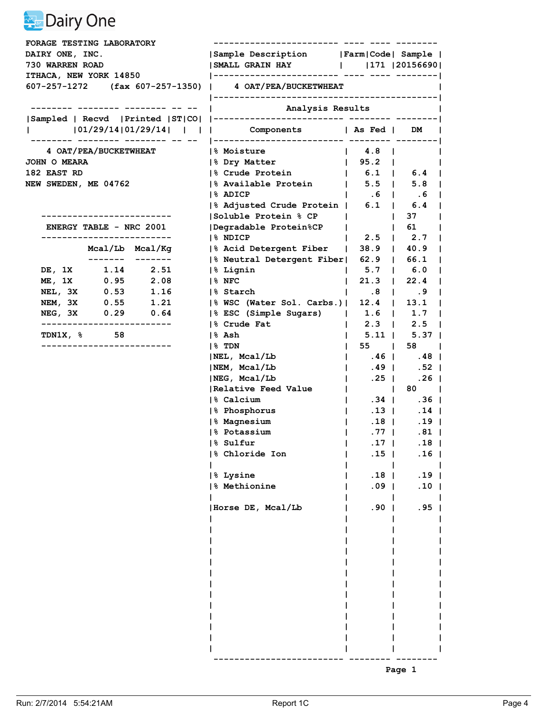| <b>FORAGE TESTING LABORATORY</b>                        |                                                                              |                                                                  |                    |  |
|---------------------------------------------------------|------------------------------------------------------------------------------|------------------------------------------------------------------|--------------------|--|
| DAIRY ONE, INC.                                         | Sample Description   Farm   Code   Sample                                    |                                                                  |                    |  |
| 730 WARREN ROAD                                         | SMALL GRAIN HAY       171   20156690                                         |                                                                  |                    |  |
| ITHACA, NEW YORK 14850                                  |                                                                              |                                                                  |                    |  |
| 607-257-1272 (fax 607-257-1350)   4 OAT/PEA/BUCKETWHEAT | Analysis Results                                                             |                                                                  |                    |  |
|                                                         |                                                                              |                                                                  |                    |  |
|                                                         |                                                                              |                                                                  |                    |  |
| 101/29/14 01/29/14        Components   As Fed   DM      |                                                                              |                                                                  |                    |  |
| <b>4 OAT/PEA/BUCKETWHEAT</b>                            | <b>1% Moisture</b>                                                           | $\begin{array}{ccc} & 4.8 \end{array}$                           |                    |  |
| <b>JOHN O MEARA</b>                                     | 1% Dry Matter                                                                | 95.2                                                             |                    |  |
| 182 EAST RD                                             | % Crude Protein                                                              |                                                                  |                    |  |
| NEW SWEDEN, ME 04762                                    | % Available Protein   5.5   5.8                                              |                                                                  |                    |  |
|                                                         | 1% ADICP                                                                     | $1 \t .6 \t 1 \t .6$                                             |                    |  |
|                                                         | % Adjusted Crude Protein   6.1   6.4                                         |                                                                  |                    |  |
|                                                         | Soluble Protein % CP                                                         |                                                                  | 37<br>$\mathbf{1}$ |  |
| <b>ENERGY TABLE - NRC 2001</b>                          | Degradable Protein%CP                                                        | $\mathbf{L}$                                                     | $\vert$ 61         |  |
| -------------------------                               | 1% NDICP                                                                     | $\vert$ 2.5 $\vert$ 2.7                                          |                    |  |
| Mcal/Lb Mcal/Kg<br>------- -------                      | % Acid Detergent Fiber   38.9   40.9                                         |                                                                  |                    |  |
|                                                         | % Neutral Detergent Fiber  62.9   66.1                                       |                                                                  |                    |  |
| DE, 1X 1.14 2.51<br>0.95 2.08                           | % Lignin                                                                     | $1$ 5.7 $1$ 6.0                                                  |                    |  |
| ME, 1X<br>0.53<br>NEL, 3X<br>1.16                       | $ 8$ NFC<br>1% Starch                                                        | $21.3$  <br>$\mathbf{L}$                                         | 22.4               |  |
| NEM, 3X 0.55 1.21                                       |                                                                              | $\begin{array}{ccccccc} \vert & & .8 & \vert & & .9 \end{array}$ |                    |  |
| NEG, 3X 0.29 0.64                                       | % WSC (Water Sol. Carbs.)  12.4   13.1<br> % ESC (Simple Sugars)   1.6   1.7 |                                                                  |                    |  |
| -------------------------                               | 8 Crude Fat                                                                  | L                                                                | $2.3$   $2.5$      |  |
| $TDN1X, %$ 58                                           | % Ash                                                                        |                                                                  | $5.11$   $5.37$    |  |
| ------------------------                                | $ 8$ TDN                                                                     | 55  <br>$\mathbf{L}$                                             | 58                 |  |
|                                                         | NEL, Mcal/Lb                                                                 | $ $ .46   .48                                                    |                    |  |
|                                                         | NEM, Mcal/Lb                                                                 | .49  <br>$\Box$                                                  | .52                |  |
|                                                         | NEG, Mcal/Lb                                                                 | $.25$  <br>$\mathbf{L}$                                          | .26 <sub>1</sub>   |  |
|                                                         | Relative Feed Value                                                          | <b>Contract Contract Contract</b>                                | $80 \quad  $       |  |
|                                                         | 1% Calcium                                                                   | $\mathbf{L}$                                                     | $.34$   $.36$      |  |
|                                                         | % Phosphorus                                                                 | $.13$  <br>$\mathbf{1}$                                          | $.14$              |  |
|                                                         | % Magnesium                                                                  | $\mathbf{1}$                                                     | $.18$   .19        |  |
|                                                         | 1% Potassium                                                                 | $\mathbf{L}$                                                     | $.77$   .81        |  |
|                                                         | % Sulfur<br>the control of the con-                                          | .17 <sub>1</sub>                                                 | $.18$              |  |
|                                                         | 8 Chloride Ion                                                               | $.15$                                                            | .16 <sub>1</sub>   |  |
|                                                         |                                                                              |                                                                  |                    |  |
|                                                         | 8 Lysine                                                                     | $.18$                                                            | $.19$              |  |
|                                                         | 8 Methionine                                                                 | $.09$                                                            | .10 <sub>1</sub>   |  |
|                                                         | Horse DE, Mcal/Lb                                                            | .90 <sub>1</sub>                                                 | $.95$              |  |
|                                                         |                                                                              |                                                                  |                    |  |
|                                                         |                                                                              |                                                                  |                    |  |
|                                                         |                                                                              |                                                                  |                    |  |
|                                                         |                                                                              |                                                                  |                    |  |
|                                                         |                                                                              |                                                                  |                    |  |
|                                                         |                                                                              |                                                                  |                    |  |
|                                                         |                                                                              |                                                                  |                    |  |
|                                                         |                                                                              |                                                                  |                    |  |
|                                                         |                                                                              |                                                                  |                    |  |
|                                                         |                                                                              |                                                                  |                    |  |
|                                                         |                                                                              |                                                                  |                    |  |
|                                                         |                                                                              |                                                                  |                    |  |

**Page 1 Page 1**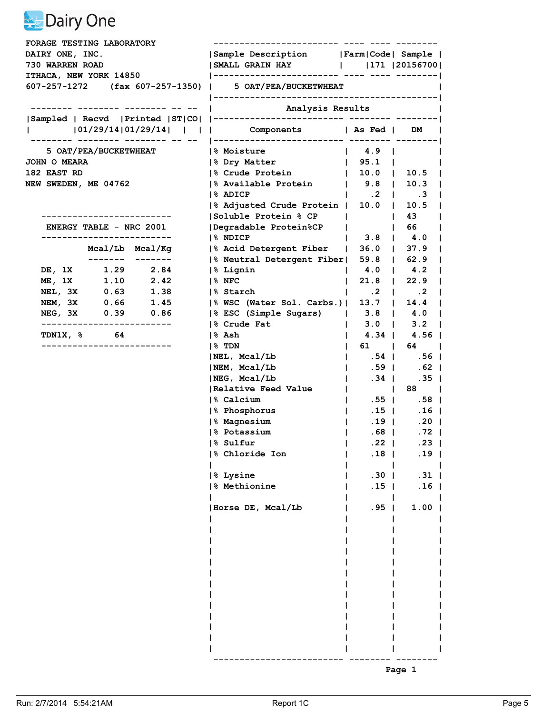| Sample Description   Farm   Code   Sample  <br>DAIRY ONE, INC.<br>  SMALL GRAIN HAY       171   20156700  <br>730 WARREN ROAD<br>ITHACA, NEW YORK 14850<br>607-257-1272 (fax 607-257-1350)   5 OAT/PEA/BUCKETWHEAT<br>Analysis Results<br>  101/29/14 01/29/14        Components   As Fed   DM  <br>5 OAT/PEA/BUCKETWHEAT<br><b>8 Moisture</b><br><b>JOHN O MEARA</b><br>$\vert$ 95.1 $\vert$<br>8 Dry Matter<br> % Crude Protein<br> 10.0 10.5<br>182 EAST RD<br>$ \%$ Available Protein $ $ 9.8   10.3<br><b>NEW SWEDEN, ME 04762</b><br>1% ADICP<br>$\begin{array}{ccccccccccccccccc}\n1 & .2 & .3\n\end{array}$<br>$\frac{1}{6}$ Adjusted Crude Protein   10.0   10.5<br> Soluble Protein % CP  <br>-----------------------<br> Degradable Protein%CP<br><b>ENERGY TABLE - NRC 2001</b><br>$\mathbf{1}$<br>--------------------------<br>1% NDICP<br>$\vert$ 3.8 $\vert$ 4.0<br>Mcal/Lb Mcal/Kg<br> % Acid Detergent Fiber   36.0   37.9<br> % Neutral Detergent Fiber  59.8   62.9<br>DE, 1X 1.29 2.84<br>$1 \t 4.0 \t 4.2$<br> % Lignin<br>1.10 2.42<br>ME, 1X<br>$21.8$  <br>$ 8$ NFC<br>$\mathbf{L}$<br>0.63<br>NEL, 3X<br>1.38<br>1% Starch<br>$\begin{array}{cccccccc} \vert & .2 \end{array}$ . 2<br>1.45<br>NEM, 3X 0.66<br> % WSC (Water Sol. Carbs.)  13.7   14.4  <br> % ESC (Simple Sugars)   3.8   4.0  <br>NEG, 3X 0.39 0.86<br>-------------------------<br>8 Crude Fat<br>$\mathbf{L}$<br><b>TDN1X, %</b> 64<br> % Ash<br>$\mathbf{L}$<br>--------------------<br>$ 8$ TDN<br>$\mathbf{L}$<br>$\vert$ .54   .56  <br> NEL, Mcal/Lb |                                     |
|--------------------------------------------------------------------------------------------------------------------------------------------------------------------------------------------------------------------------------------------------------------------------------------------------------------------------------------------------------------------------------------------------------------------------------------------------------------------------------------------------------------------------------------------------------------------------------------------------------------------------------------------------------------------------------------------------------------------------------------------------------------------------------------------------------------------------------------------------------------------------------------------------------------------------------------------------------------------------------------------------------------------------------------------------------------------------------------------------------------------------------------------------------------------------------------------------------------------------------------------------------------------------------------------------------------------------------------------------------------------------------------------------------------------------------------------------------------------------------------------------------------------------------------------------------|-------------------------------------|
|                                                                                                                                                                                                                                                                                                                                                                                                                                                                                                                                                                                                                                                                                                                                                                                                                                                                                                                                                                                                                                                                                                                                                                                                                                                                                                                                                                                                                                                                                                                                                        |                                     |
|                                                                                                                                                                                                                                                                                                                                                                                                                                                                                                                                                                                                                                                                                                                                                                                                                                                                                                                                                                                                                                                                                                                                                                                                                                                                                                                                                                                                                                                                                                                                                        |                                     |
|                                                                                                                                                                                                                                                                                                                                                                                                                                                                                                                                                                                                                                                                                                                                                                                                                                                                                                                                                                                                                                                                                                                                                                                                                                                                                                                                                                                                                                                                                                                                                        |                                     |
|                                                                                                                                                                                                                                                                                                                                                                                                                                                                                                                                                                                                                                                                                                                                                                                                                                                                                                                                                                                                                                                                                                                                                                                                                                                                                                                                                                                                                                                                                                                                                        |                                     |
|                                                                                                                                                                                                                                                                                                                                                                                                                                                                                                                                                                                                                                                                                                                                                                                                                                                                                                                                                                                                                                                                                                                                                                                                                                                                                                                                                                                                                                                                                                                                                        |                                     |
|                                                                                                                                                                                                                                                                                                                                                                                                                                                                                                                                                                                                                                                                                                                                                                                                                                                                                                                                                                                                                                                                                                                                                                                                                                                                                                                                                                                                                                                                                                                                                        |                                     |
|                                                                                                                                                                                                                                                                                                                                                                                                                                                                                                                                                                                                                                                                                                                                                                                                                                                                                                                                                                                                                                                                                                                                                                                                                                                                                                                                                                                                                                                                                                                                                        |                                     |
|                                                                                                                                                                                                                                                                                                                                                                                                                                                                                                                                                                                                                                                                                                                                                                                                                                                                                                                                                                                                                                                                                                                                                                                                                                                                                                                                                                                                                                                                                                                                                        |                                     |
|                                                                                                                                                                                                                                                                                                                                                                                                                                                                                                                                                                                                                                                                                                                                                                                                                                                                                                                                                                                                                                                                                                                                                                                                                                                                                                                                                                                                                                                                                                                                                        |                                     |
|                                                                                                                                                                                                                                                                                                                                                                                                                                                                                                                                                                                                                                                                                                                                                                                                                                                                                                                                                                                                                                                                                                                                                                                                                                                                                                                                                                                                                                                                                                                                                        |                                     |
|                                                                                                                                                                                                                                                                                                                                                                                                                                                                                                                                                                                                                                                                                                                                                                                                                                                                                                                                                                                                                                                                                                                                                                                                                                                                                                                                                                                                                                                                                                                                                        | $\blacksquare$                      |
|                                                                                                                                                                                                                                                                                                                                                                                                                                                                                                                                                                                                                                                                                                                                                                                                                                                                                                                                                                                                                                                                                                                                                                                                                                                                                                                                                                                                                                                                                                                                                        |                                     |
|                                                                                                                                                                                                                                                                                                                                                                                                                                                                                                                                                                                                                                                                                                                                                                                                                                                                                                                                                                                                                                                                                                                                                                                                                                                                                                                                                                                                                                                                                                                                                        |                                     |
|                                                                                                                                                                                                                                                                                                                                                                                                                                                                                                                                                                                                                                                                                                                                                                                                                                                                                                                                                                                                                                                                                                                                                                                                                                                                                                                                                                                                                                                                                                                                                        | $\begin{array}{ccc} \end{array}$ 43 |
|                                                                                                                                                                                                                                                                                                                                                                                                                                                                                                                                                                                                                                                                                                                                                                                                                                                                                                                                                                                                                                                                                                                                                                                                                                                                                                                                                                                                                                                                                                                                                        | 66                                  |
|                                                                                                                                                                                                                                                                                                                                                                                                                                                                                                                                                                                                                                                                                                                                                                                                                                                                                                                                                                                                                                                                                                                                                                                                                                                                                                                                                                                                                                                                                                                                                        |                                     |
|                                                                                                                                                                                                                                                                                                                                                                                                                                                                                                                                                                                                                                                                                                                                                                                                                                                                                                                                                                                                                                                                                                                                                                                                                                                                                                                                                                                                                                                                                                                                                        |                                     |
|                                                                                                                                                                                                                                                                                                                                                                                                                                                                                                                                                                                                                                                                                                                                                                                                                                                                                                                                                                                                                                                                                                                                                                                                                                                                                                                                                                                                                                                                                                                                                        |                                     |
|                                                                                                                                                                                                                                                                                                                                                                                                                                                                                                                                                                                                                                                                                                                                                                                                                                                                                                                                                                                                                                                                                                                                                                                                                                                                                                                                                                                                                                                                                                                                                        | 22.9                                |
|                                                                                                                                                                                                                                                                                                                                                                                                                                                                                                                                                                                                                                                                                                                                                                                                                                                                                                                                                                                                                                                                                                                                                                                                                                                                                                                                                                                                                                                                                                                                                        |                                     |
|                                                                                                                                                                                                                                                                                                                                                                                                                                                                                                                                                                                                                                                                                                                                                                                                                                                                                                                                                                                                                                                                                                                                                                                                                                                                                                                                                                                                                                                                                                                                                        |                                     |
|                                                                                                                                                                                                                                                                                                                                                                                                                                                                                                                                                                                                                                                                                                                                                                                                                                                                                                                                                                                                                                                                                                                                                                                                                                                                                                                                                                                                                                                                                                                                                        |                                     |
|                                                                                                                                                                                                                                                                                                                                                                                                                                                                                                                                                                                                                                                                                                                                                                                                                                                                                                                                                                                                                                                                                                                                                                                                                                                                                                                                                                                                                                                                                                                                                        | $3.0$   $3.2$                       |
|                                                                                                                                                                                                                                                                                                                                                                                                                                                                                                                                                                                                                                                                                                                                                                                                                                                                                                                                                                                                                                                                                                                                                                                                                                                                                                                                                                                                                                                                                                                                                        | $4.34$   $4.56$                     |
|                                                                                                                                                                                                                                                                                                                                                                                                                                                                                                                                                                                                                                                                                                                                                                                                                                                                                                                                                                                                                                                                                                                                                                                                                                                                                                                                                                                                                                                                                                                                                        | 61   64                             |
|                                                                                                                                                                                                                                                                                                                                                                                                                                                                                                                                                                                                                                                                                                                                                                                                                                                                                                                                                                                                                                                                                                                                                                                                                                                                                                                                                                                                                                                                                                                                                        |                                     |
| NEM, Mcal/Lb<br>$\mathbf{1}$                                                                                                                                                                                                                                                                                                                                                                                                                                                                                                                                                                                                                                                                                                                                                                                                                                                                                                                                                                                                                                                                                                                                                                                                                                                                                                                                                                                                                                                                                                                           | .59   .62                           |
| NEG, Meal/Lb<br>$.34$  <br>$\mathbf{L}$                                                                                                                                                                                                                                                                                                                                                                                                                                                                                                                                                                                                                                                                                                                                                                                                                                                                                                                                                                                                                                                                                                                                                                                                                                                                                                                                                                                                                                                                                                                | .35                                 |
| Relative Feed Value<br><b>Contract Contract Contract</b><br>$\mathbf{1}$                                                                                                                                                                                                                                                                                                                                                                                                                                                                                                                                                                                                                                                                                                                                                                                                                                                                                                                                                                                                                                                                                                                                                                                                                                                                                                                                                                                                                                                                               | 88                                  |
| $1.55$ $1.58$  <br>1% Calcium                                                                                                                                                                                                                                                                                                                                                                                                                                                                                                                                                                                                                                                                                                                                                                                                                                                                                                                                                                                                                                                                                                                                                                                                                                                                                                                                                                                                                                                                                                                          |                                     |
| % Phosphorus<br>$.15$  <br>$\mathbf{1}$                                                                                                                                                                                                                                                                                                                                                                                                                                                                                                                                                                                                                                                                                                                                                                                                                                                                                                                                                                                                                                                                                                                                                                                                                                                                                                                                                                                                                                                                                                                | $.16$                               |
| % Magnesium<br>.19 <sub>1</sub><br>$\mathbf{1}$                                                                                                                                                                                                                                                                                                                                                                                                                                                                                                                                                                                                                                                                                                                                                                                                                                                                                                                                                                                                                                                                                                                                                                                                                                                                                                                                                                                                                                                                                                        | $.20$                               |
| 1% Potassium<br>$\mathbf{L}$                                                                                                                                                                                                                                                                                                                                                                                                                                                                                                                                                                                                                                                                                                                                                                                                                                                                                                                                                                                                                                                                                                                                                                                                                                                                                                                                                                                                                                                                                                                           | $.68$  <br>.72 I                    |
| % Sulfur<br><b>Contract Contract Contract</b><br>$.22$                                                                                                                                                                                                                                                                                                                                                                                                                                                                                                                                                                                                                                                                                                                                                                                                                                                                                                                                                                                                                                                                                                                                                                                                                                                                                                                                                                                                                                                                                                 | $.23$                               |
| 8 Chloride Ion<br>.18                                                                                                                                                                                                                                                                                                                                                                                                                                                                                                                                                                                                                                                                                                                                                                                                                                                                                                                                                                                                                                                                                                                                                                                                                                                                                                                                                                                                                                                                                                                                  | .19                                 |
| .30 <sub>1</sub><br>8 Lysine                                                                                                                                                                                                                                                                                                                                                                                                                                                                                                                                                                                                                                                                                                                                                                                                                                                                                                                                                                                                                                                                                                                                                                                                                                                                                                                                                                                                                                                                                                                           | $.31$                               |
| 8 Methionine<br>$.15$                                                                                                                                                                                                                                                                                                                                                                                                                                                                                                                                                                                                                                                                                                                                                                                                                                                                                                                                                                                                                                                                                                                                                                                                                                                                                                                                                                                                                                                                                                                                  | .16 <sub>1</sub>                    |
| $.95$  <br>Horse DE, Mcal/Lb                                                                                                                                                                                                                                                                                                                                                                                                                                                                                                                                                                                                                                                                                                                                                                                                                                                                                                                                                                                                                                                                                                                                                                                                                                                                                                                                                                                                                                                                                                                           | $1.00$                              |
|                                                                                                                                                                                                                                                                                                                                                                                                                                                                                                                                                                                                                                                                                                                                                                                                                                                                                                                                                                                                                                                                                                                                                                                                                                                                                                                                                                                                                                                                                                                                                        |                                     |
|                                                                                                                                                                                                                                                                                                                                                                                                                                                                                                                                                                                                                                                                                                                                                                                                                                                                                                                                                                                                                                                                                                                                                                                                                                                                                                                                                                                                                                                                                                                                                        |                                     |
|                                                                                                                                                                                                                                                                                                                                                                                                                                                                                                                                                                                                                                                                                                                                                                                                                                                                                                                                                                                                                                                                                                                                                                                                                                                                                                                                                                                                                                                                                                                                                        |                                     |
|                                                                                                                                                                                                                                                                                                                                                                                                                                                                                                                                                                                                                                                                                                                                                                                                                                                                                                                                                                                                                                                                                                                                                                                                                                                                                                                                                                                                                                                                                                                                                        |                                     |
|                                                                                                                                                                                                                                                                                                                                                                                                                                                                                                                                                                                                                                                                                                                                                                                                                                                                                                                                                                                                                                                                                                                                                                                                                                                                                                                                                                                                                                                                                                                                                        |                                     |
|                                                                                                                                                                                                                                                                                                                                                                                                                                                                                                                                                                                                                                                                                                                                                                                                                                                                                                                                                                                                                                                                                                                                                                                                                                                                                                                                                                                                                                                                                                                                                        |                                     |
|                                                                                                                                                                                                                                                                                                                                                                                                                                                                                                                                                                                                                                                                                                                                                                                                                                                                                                                                                                                                                                                                                                                                                                                                                                                                                                                                                                                                                                                                                                                                                        |                                     |
|                                                                                                                                                                                                                                                                                                                                                                                                                                                                                                                                                                                                                                                                                                                                                                                                                                                                                                                                                                                                                                                                                                                                                                                                                                                                                                                                                                                                                                                                                                                                                        |                                     |
|                                                                                                                                                                                                                                                                                                                                                                                                                                                                                                                                                                                                                                                                                                                                                                                                                                                                                                                                                                                                                                                                                                                                                                                                                                                                                                                                                                                                                                                                                                                                                        |                                     |

**Page 1 Page 1**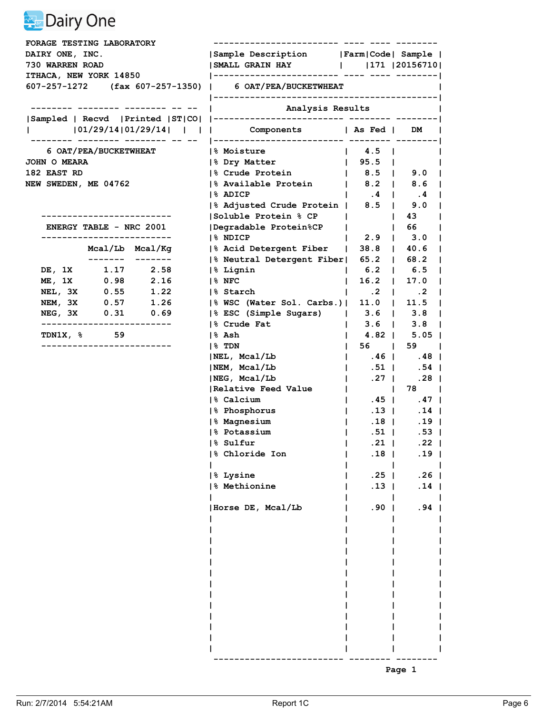| DAIRY ONE, INC.<br>730 WARREN ROAD                           | Sample Description   Farm   Code   Sample  <br>  SMALL GRAIN HAY       171   20156710 |                                                               |                                     |  |
|--------------------------------------------------------------|---------------------------------------------------------------------------------------|---------------------------------------------------------------|-------------------------------------|--|
|                                                              |                                                                                       |                                                               |                                     |  |
|                                                              |                                                                                       |                                                               |                                     |  |
| ITHACA, NEW YORK 14850                                       |                                                                                       |                                                               |                                     |  |
| $607-257-1272$ (fax $607-257-1350$ )   6 OAT/PEA/BUCKETWHEAT |                                                                                       |                                                               |                                     |  |
|                                                              | Analysis Results                                                                      |                                                               |                                     |  |
|                                                              |                                                                                       |                                                               |                                     |  |
| 101/29/14 01/29/14        Components   As Fed   DM           |                                                                                       |                                                               |                                     |  |
| 6 OAT/PEA/BUCKETWHEAT                                        | <b>1% Moisture</b>                                                                    | $\vert$ 4.5 $\vert$                                           |                                     |  |
| <b>JOHN O MEARA</b>                                          | 1% Dry Matter                                                                         | $\vert$ 95.5 $\vert$                                          |                                     |  |
| 182 EAST RD                                                  | % Crude Protein                                                                       | $\vert$ 8.5 $\vert$ 9.0                                       |                                     |  |
| NEW SWEDEN, ME 04762                                         | % Available Protein   8.2   8.6                                                       |                                                               |                                     |  |
|                                                              | 1% ADICP                                                                              | $\begin{array}{cccccccc} \vert & .4 & \vert & .4 \end{array}$ |                                     |  |
|                                                              | % Adjusted Crude Protein   8.5   9.0                                                  |                                                               |                                     |  |
|                                                              | Soluble Protein % CP                                                                  |                                                               | $\begin{array}{ccc} \end{array}$ 43 |  |
| <b>ENERGY TABLE - NRC 2001</b>                               | Degradable Protein%CP                                                                 | $\mathbf{L}$                                                  | 166                                 |  |
| -------------------------                                    | 1% NDICP                                                                              |                                                               | $2.9$   $3.0$                       |  |
| Mcal/Lb Mcal/Kg                                              | % Acid Detergent Fiber   38.8   40.6                                                  |                                                               |                                     |  |
| ------- -------                                              | % Neutral Detergent Fiber  65.2   68.2                                                |                                                               |                                     |  |
| DE, 1X 1.17 2.58<br>$0.98$ 2.16                              | % Lignin                                                                              | $1 \t6.2 \t16.5$                                              |                                     |  |
| ME, 1X<br>$1\%$ NFC<br>0.55                                  |                                                                                       | $16.2$   17.0<br>$\mathbf{L}$                                 |                                     |  |
| NEL, 3X<br>1.22<br>NEM, 3X 0.57 1.26                         | 1% Starch                                                                             | $\begin{array}{ccccccccccccc}\n1 & .2 & .2 & .2\n\end{array}$ |                                     |  |
| NEG, 3X 0.31 0.69                                            | % WSC (Water Sol. Carbs.)  11.0   11.5<br> % ESC (Simple Sugars)   3.6   3.8          |                                                               |                                     |  |
| -------------------------                                    | 8 Crude Fat                                                                           | $\mathbf{L}$                                                  | $3.6$   $3.8$                       |  |
| <b>TDN1X, % 59</b><br> % Ash                                 |                                                                                       |                                                               | 4.82   5.05                         |  |
| ------------------------<br>$ 8$ TDN                         |                                                                                       | 56  <br>$\mathbf{L}$                                          | $59$ $\vert$                        |  |
|                                                              | NEL, Mcal/Lb                                                                          | $\vert$ .46 $\vert$ .48 $\vert$                               |                                     |  |
|                                                              | NEM, Mcal/Lb                                                                          | .51  <br>$\Box$                                               | .54                                 |  |
|                                                              | NEG, Mcal/Lb                                                                          | .27 <sub>1</sub><br>$\mathbf{L}$                              | .28 <sub>1</sub>                    |  |
|                                                              | Relative Feed Value                                                                   | and the property                                              | 78                                  |  |
|                                                              | 1% Calcium                                                                            | $\mathbf{I}$                                                  | $.45$   $.47$                       |  |
|                                                              | % Phosphorus                                                                          | $.13$  <br>$\mathbf{1}$                                       | $.14$                               |  |
|                                                              | % Magnesium                                                                           | $\mathbf{1}$                                                  | $.18$   .19                         |  |
|                                                              | 1% Potassium                                                                          | $\mathbf{L}$                                                  | $.51$   .53                         |  |
|                                                              | % Sulfur<br>and the state of the state of                                             | $.21$                                                         | $.22$                               |  |
|                                                              | 8 Chloride Ion                                                                        | .18                                                           | .19                                 |  |
|                                                              | 8 Lysine                                                                              | $.25$                                                         | .26 <sub>1</sub>                    |  |
|                                                              | 8 Methionine                                                                          | $.13$                                                         | $.14$                               |  |
|                                                              |                                                                                       |                                                               |                                     |  |
|                                                              | Horse DE, Mcal/Lb                                                                     | .90 <sub>1</sub>                                              | $.94$                               |  |
|                                                              |                                                                                       |                                                               |                                     |  |
|                                                              |                                                                                       |                                                               |                                     |  |
|                                                              |                                                                                       |                                                               |                                     |  |
|                                                              |                                                                                       |                                                               |                                     |  |
|                                                              |                                                                                       |                                                               |                                     |  |
|                                                              |                                                                                       |                                                               |                                     |  |
|                                                              |                                                                                       |                                                               |                                     |  |
|                                                              |                                                                                       |                                                               |                                     |  |
|                                                              |                                                                                       |                                                               |                                     |  |
|                                                              |                                                                                       |                                                               |                                     |  |
|                                                              |                                                                                       |                                                               |                                     |  |
|                                                              |                                                                                       |                                                               |                                     |  |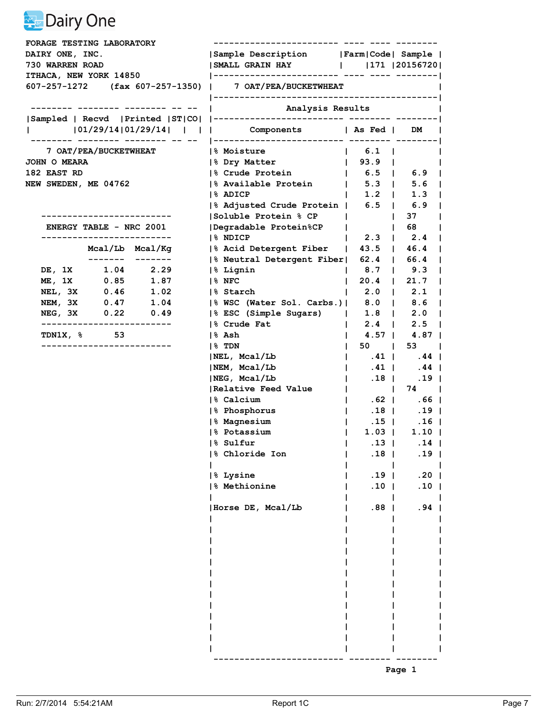| FORAGE TESTING LABORATORY                               |              |                                           |                                                                |                                                      |                                       |  |
|---------------------------------------------------------|--------------|-------------------------------------------|----------------------------------------------------------------|------------------------------------------------------|---------------------------------------|--|
| DAIRY ONE, INC.                                         |              | Sample Description   Farm   Code   Sample |                                                                |                                                      |                                       |  |
| 730 WARREN ROAD                                         |              |                                           | SMALL GRAIN HAY       171   20156720                           |                                                      |                                       |  |
| <b>ITHACA, NEW YORK 14850</b>                           |              |                                           |                                                                |                                                      |                                       |  |
| 607-257-1272 (fax 607-257-1350)   7 OAT/PEA/BUCKETWHEAT |              |                                           |                                                                |                                                      |                                       |  |
|                                                         |              |                                           | Analysis Results                                               |                                                      |                                       |  |
|                                                         |              |                                           |                                                                |                                                      |                                       |  |
|                                                         |              |                                           | 101/29/14 01/29/14        Components   As Fed   DM             |                                                      |                                       |  |
|                                                         |              | 7 OAT/PEA/BUCKETWHEAT                     | <b>1% Moisture</b>                                             | $\vert$ 6.1 $\vert$                                  |                                       |  |
| <b>JOHN O MEARA</b>                                     |              |                                           | 1% Dry Matter                                                  | $\begin{array}{cccc} \mid & 93.9 & \mid \end{array}$ |                                       |  |
| 182 EAST RD                                             |              |                                           | % Crude Protein                                                |                                                      |                                       |  |
| NEW SWEDEN, ME 04762                                    |              |                                           | % Available Protein   5.3   5.6                                |                                                      |                                       |  |
|                                                         |              |                                           | 1% ADICP                                                       | 1.2 1.3                                              |                                       |  |
|                                                         |              |                                           | % Adjusted Crude Protein   6.5   6.9                           |                                                      |                                       |  |
|                                                         |              |                                           | Soluble Protein % CP                                           |                                                      | 37<br>$\mathbf{1}$                    |  |
| <b>ENERGY TABLE - NRC 2001</b>                          |              |                                           | Degradable Protein%CP                                          | $\mathbf{L}$                                         | $\begin{array}{ccc} \end{array}$ 68   |  |
| -------------------------                               |              |                                           | 1% NDICP                                                       |                                                      | $2.3$   $2.4$                         |  |
|                                                         |              | Mcal/Lb Mcal/Kg                           | % Acid Detergent Fiber   43.5   46.4                           |                                                      |                                       |  |
|                                                         |              |                                           | % Neutral Detergent Fiber  62.4   66.4                         |                                                      |                                       |  |
| DE, 1X 1.04 2.29                                        |              |                                           | % Lignin                                                       | $1 \t 8.7 \t 9.3$                                    |                                       |  |
| ME, 1X                                                  | 0.85<br>0.46 | 1.87                                      | $1\%$ NFC                                                      | $\vert$ 20.4   21.7                                  |                                       |  |
| NEL, 3X<br>NEM, 3X 0.47 1.04                            |              | 1.02                                      | 1% Starch                                                      | $\mathbf{I}$                                         | $2.0$   $2.1$                         |  |
|                                                         |              |                                           | % WSC (Water Sol. Carbs.)  8.0   8.6<br> % ESC (Simple Sugars) |                                                      |                                       |  |
| NEG, 3X 0.22 0.49<br>-------------------------          |              |                                           | 8 Crude Fat                                                    |                                                      | $1.8$   2.0  <br>$2.4$   $2.5$        |  |
| <b>TDN1X, % 53</b>                                      |              |                                           | % Ash                                                          | I.                                                   | 4.57   4.87                           |  |
| -----------------------                                 |              |                                           | $ 8$ TDN                                                       | $50 \quad  $<br>$\mathbf{L}$                         | 53                                    |  |
|                                                         |              |                                           | NEL, Mcal/Lb                                                   | $\vert$ .41   .44                                    |                                       |  |
|                                                         |              |                                           | NEM, Mcal/Lb                                                   | $.41$  <br>$\mathbf{1}$                              | $.44$                                 |  |
|                                                         |              |                                           | NEG, Mcal/Lb                                                   | $\mathbf{L}$                                         | . 18   . 19                           |  |
|                                                         |              |                                           | Relative Feed Value                                            |                                                      | $\begin{array}{ccc} & 74 \end{array}$ |  |
|                                                         |              |                                           | 1% Calcium                                                     | $\mathbf{L}$                                         | $.62$   $.66$                         |  |
|                                                         |              |                                           | % Phosphorus                                                   | $.18$  <br>$\mathbf{1}$                              | .19 <sub>1</sub>                      |  |
|                                                         |              |                                           | % Magnesium                                                    | $\mathbf{I}$                                         | $.15$   $.16$                         |  |
|                                                         |              |                                           | % Potassium                                                    | $\mathbf{L}$                                         | $1.03$   1.10                         |  |
|                                                         |              |                                           | % Sulfur                                                       | $\vert$ .13   .14                                    |                                       |  |
|                                                         |              |                                           | 8 Chloride Ion                                                 | .18                                                  | .19                                   |  |
|                                                         |              |                                           |                                                                |                                                      |                                       |  |
|                                                         |              |                                           | 8 Lysine                                                       | .19 <sub>1</sub>                                     | .20 <sub>1</sub>                      |  |
|                                                         |              |                                           | 8 Methionine                                                   | $.10$                                                | .10 <sub>1</sub>                      |  |
|                                                         |              |                                           | Horse DE, Mcal/Lb                                              | $.88$                                                | $.94$                                 |  |
|                                                         |              |                                           |                                                                |                                                      |                                       |  |
|                                                         |              |                                           |                                                                |                                                      |                                       |  |
|                                                         |              |                                           |                                                                |                                                      |                                       |  |
|                                                         |              |                                           |                                                                |                                                      |                                       |  |
|                                                         |              |                                           |                                                                |                                                      |                                       |  |
|                                                         |              |                                           |                                                                |                                                      |                                       |  |
|                                                         |              |                                           |                                                                |                                                      |                                       |  |
|                                                         |              |                                           |                                                                |                                                      |                                       |  |
|                                                         |              |                                           |                                                                |                                                      |                                       |  |
|                                                         |              |                                           |                                                                |                                                      |                                       |  |